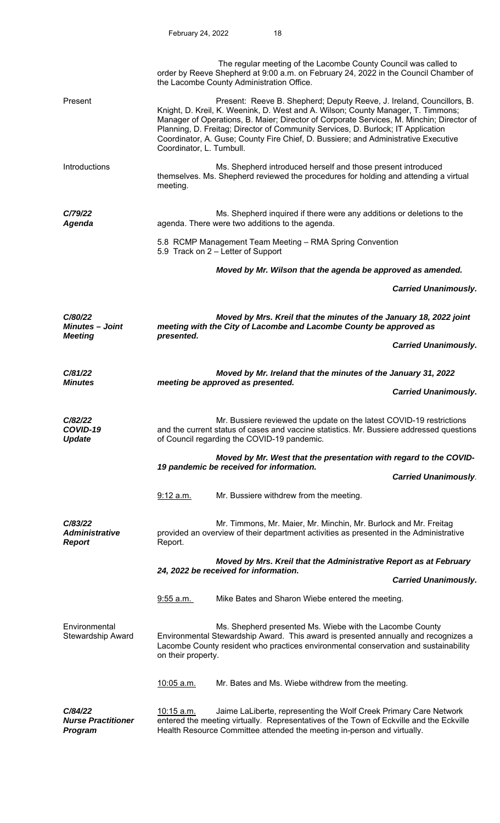|                                                     | The regular meeting of the Lacombe County Council was called to<br>order by Reeve Shepherd at 9:00 a.m. on February 24, 2022 in the Council Chamber of<br>the Lacombe County Administration Office.                                                                                                                                                                                                                                                          |                                                                       |  |
|-----------------------------------------------------|--------------------------------------------------------------------------------------------------------------------------------------------------------------------------------------------------------------------------------------------------------------------------------------------------------------------------------------------------------------------------------------------------------------------------------------------------------------|-----------------------------------------------------------------------|--|
| Present                                             | Present: Reeve B. Shepherd; Deputy Reeve, J. Ireland, Councillors, B.<br>Knight, D. Kreil, K. Weenink, D. West and A. Wilson; County Manager, T. Timmons;<br>Manager of Operations, B. Maier; Director of Corporate Services, M. Minchin; Director of<br>Planning, D. Freitag; Director of Community Services, D. Burlock; IT Application<br>Coordinator, A. Guse; County Fire Chief, D. Bussiere; and Administrative Executive<br>Coordinator, L. Turnbull. |                                                                       |  |
| Introductions                                       | Ms. Shepherd introduced herself and those present introduced<br>themselves. Ms. Shepherd reviewed the procedures for holding and attending a virtual<br>meeting.                                                                                                                                                                                                                                                                                             |                                                                       |  |
| C/79/22<br><b>Agenda</b>                            | agenda. There were two additions to the agenda.                                                                                                                                                                                                                                                                                                                                                                                                              | Ms. Shepherd inquired if there were any additions or deletions to the |  |
|                                                     | 5.8 RCMP Management Team Meeting - RMA Spring Convention<br>5.9 Track on 2 - Letter of Support                                                                                                                                                                                                                                                                                                                                                               |                                                                       |  |
|                                                     | Moved by Mr. Wilson that the agenda be approved as amended.                                                                                                                                                                                                                                                                                                                                                                                                  |                                                                       |  |
|                                                     |                                                                                                                                                                                                                                                                                                                                                                                                                                                              | <b>Carried Unanimously.</b>                                           |  |
| C/80/22<br><b>Minutes - Joint</b><br><b>Meeting</b> | Moved by Mrs. Kreil that the minutes of the January 18, 2022 joint<br>meeting with the City of Lacombe and Lacombe County be approved as<br>presented.                                                                                                                                                                                                                                                                                                       |                                                                       |  |
|                                                     |                                                                                                                                                                                                                                                                                                                                                                                                                                                              | <b>Carried Unanimously.</b>                                           |  |
| C/81/22                                             | Moved by Mr. Ireland that the minutes of the January 31, 2022                                                                                                                                                                                                                                                                                                                                                                                                |                                                                       |  |
| <b>Minutes</b>                                      | meeting be approved as presented.                                                                                                                                                                                                                                                                                                                                                                                                                            | <b>Carried Unanimously.</b>                                           |  |
| C/82/22<br>COVID-19<br><b>Update</b>                | Mr. Bussiere reviewed the update on the latest COVID-19 restrictions<br>and the current status of cases and vaccine statistics. Mr. Bussiere addressed questions<br>of Council regarding the COVID-19 pandemic.                                                                                                                                                                                                                                              |                                                                       |  |
|                                                     | Moved by Mr. West that the presentation with regard to the COVID-                                                                                                                                                                                                                                                                                                                                                                                            |                                                                       |  |
|                                                     | 19 pandemic be received for information.                                                                                                                                                                                                                                                                                                                                                                                                                     | <b>Carried Unanimously.</b>                                           |  |
|                                                     | Mr. Bussiere withdrew from the meeting.<br>9:12 a.m.                                                                                                                                                                                                                                                                                                                                                                                                         |                                                                       |  |
| C/83/22<br><b>Administrative</b><br><b>Report</b>   | Mr. Timmons, Mr. Maier, Mr. Minchin, Mr. Burlock and Mr. Freitag<br>provided an overview of their department activities as presented in the Administrative<br>Report.                                                                                                                                                                                                                                                                                        |                                                                       |  |
|                                                     | Moved by Mrs. Kreil that the Administrative Report as at February<br>24, 2022 be received for information.                                                                                                                                                                                                                                                                                                                                                   |                                                                       |  |
|                                                     |                                                                                                                                                                                                                                                                                                                                                                                                                                                              | <b>Carried Unanimously.</b>                                           |  |
|                                                     | Mike Bates and Sharon Wiebe entered the meeting.<br>9:55 a.m.                                                                                                                                                                                                                                                                                                                                                                                                |                                                                       |  |
| Environmental<br>Stewardship Award                  | Ms. Shepherd presented Ms. Wiebe with the Lacombe County<br>Environmental Stewardship Award. This award is presented annually and recognizes a<br>Lacombe County resident who practices environmental conservation and sustainability<br>on their property.                                                                                                                                                                                                  |                                                                       |  |
|                                                     | Mr. Bates and Ms. Wiebe withdrew from the meeting.<br><u>10:05 a.m.</u>                                                                                                                                                                                                                                                                                                                                                                                      |                                                                       |  |
| C/84/22<br><b>Nurse Practitioner</b><br>Program     | Jaime LaLiberte, representing the Wolf Creek Primary Care Network<br>$10:15$ a.m.<br>entered the meeting virtually. Representatives of the Town of Eckville and the Eckville<br>Health Resource Committee attended the meeting in-person and virtually.                                                                                                                                                                                                      |                                                                       |  |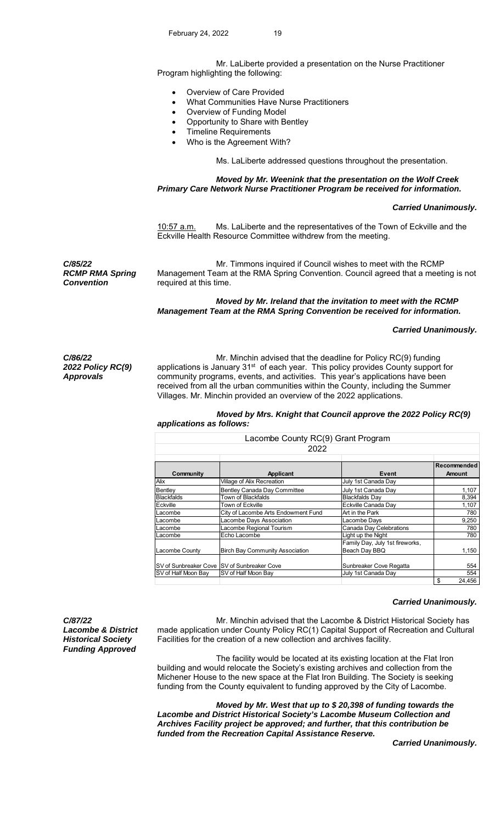Mr. LaLiberte provided a presentation on the Nurse Practitioner Program highlighting the following:

- Overview of Care Provided
- What Communities Have Nurse Practitioners
- Overview of Funding Model
- Opportunity to Share with Bentley
- Timeline Requirements
- Who is the Agreement With?

Ms. LaLiberte addressed questions throughout the presentation.

### *Moved by Mr. Weenink that the presentation on the Wolf Creek Primary Care Network Nurse Practitioner Program be received for information.*

## *Carried Unanimously.*

10:57 a.m. Ms. LaLiberte and the representatives of the Town of Eckville and the Eckville Health Resource Committee withdrew from the meeting.

*C/85/22 RCMP RMA Spring Convention* 

 Mr. Timmons inquired if Council wishes to meet with the RCMP Management Team at the RMA Spring Convention. Council agreed that a meeting is not required at this time.

 *Moved by Mr. Ireland that the invitation to meet with the RCMP Management Team at the RMA Spring Convention be received for information.* 

#### *Carried Unanimously.*

*C/86/22 2022 Policy RC(9) Approvals* 

 Mr. Minchin advised that the deadline for Policy RC(9) funding applications is January 31<sup>st</sup> of each year. This policy provides County support for community programs, events, and activities. This year's applications have been received from all the urban communities within the County, including the Summer Villages. Mr. Minchin provided an overview of the 2022 applications.

# *Moved by Mrs. Knight that Council approve the 2022 Policy RC(9) applications as follows:*

|                                              | Lacombe County RC(9) Grant Program     |                                                  |                       |  |  |
|----------------------------------------------|----------------------------------------|--------------------------------------------------|-----------------------|--|--|
| 2022                                         |                                        |                                                  |                       |  |  |
| Community                                    | Applicant                              | Event                                            | Recommended<br>Amount |  |  |
| <b>Alix</b>                                  | Village of Alix Recreation             | July 1st Canada Day                              |                       |  |  |
| Bentley                                      | Bentley Canada Day Committee           | July 1st Canada Day                              | 1,107                 |  |  |
| Blackfalds                                   | Town of Blackfalds                     | <b>Blackfalds Day</b>                            | 8,394                 |  |  |
| Eckville                                     | Town of Eckville                       | Eckville Canada Dav                              | 1,107                 |  |  |
| Lacombe                                      | City of Lacombe Arts Endowment Fund    | Art in the Park                                  | 780                   |  |  |
| Lacombe                                      | Lacombe Days Association               | Lacombe Days                                     | 9,250                 |  |  |
| Lacombe                                      | Lacombe Regional Tourism               | Canada Day Celebrations                          | 780                   |  |  |
| Lacombe                                      | Echo Lacombe                           | Light up the Night                               | 780                   |  |  |
| Lacombe County                               | <b>Birch Bay Community Association</b> | Family Day, July 1st fireworks,<br>Beach Day BBQ | 1,150                 |  |  |
| SV of Sunbreaker Cove ISV of Sunbreaker Cove |                                        | Sunbreaker Cove Regatta                          | 554                   |  |  |
| SV of Half Moon Bay                          | SV of Half Moon Bay                    | July 1st Canada Day                              | 554                   |  |  |
|                                              |                                        |                                                  | \$<br>24,456          |  |  |

### *Carried Unanimously.*

*C/87/22 Lacombe & District Historical Society Funding Approved* 

 Mr. Minchin advised that the Lacombe & District Historical Society has made application under County Policy RC(1) Capital Support of Recreation and Cultural Facilities for the creation of a new collection and archives facility.

 The facility would be located at its existing location at the Flat Iron building and would relocate the Society's existing archives and collection from the Michener House to the new space at the Flat Iron Building. The Society is seeking funding from the County equivalent to funding approved by the City of Lacombe.

 *Moved by Mr. West that up to \$ 20,398 of funding towards the Lacombe and District Historical Society's Lacombe Museum Collection and Archives Facility project be approved; and further, that this contribution be funded from the Recreation Capital Assistance Reserve.* 

 *Carried Unanimously.*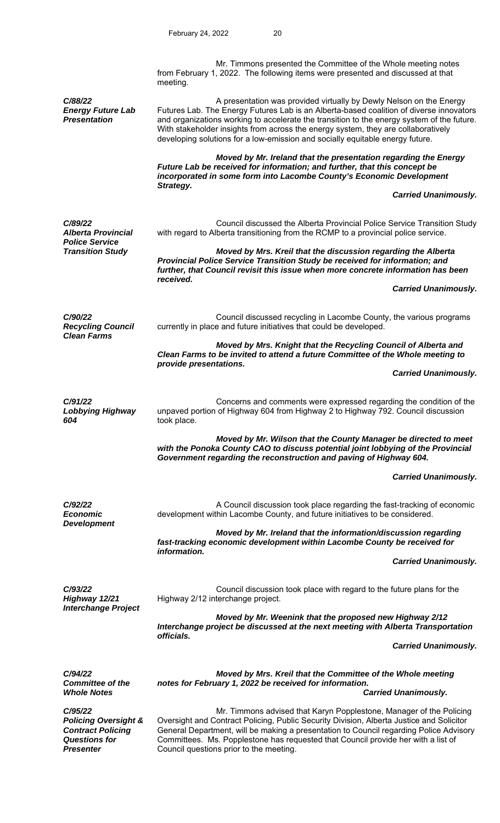|                                                                                                                    | Mr. Timmons presented the Committee of the Whole meeting notes<br>from February 1, 2022. The following items were presented and discussed at that<br>meeting.                                                                                                                                                                                                                                                                      |  |
|--------------------------------------------------------------------------------------------------------------------|------------------------------------------------------------------------------------------------------------------------------------------------------------------------------------------------------------------------------------------------------------------------------------------------------------------------------------------------------------------------------------------------------------------------------------|--|
| C/88/22<br><b>Energy Future Lab</b><br><b>Presentation</b>                                                         | A presentation was provided virtually by Dewly Nelson on the Energy<br>Futures Lab. The Energy Futures Lab is an Alberta-based coalition of diverse innovators<br>and organizations working to accelerate the transition to the energy system of the future.<br>With stakeholder insights from across the energy system, they are collaboratively<br>developing solutions for a low-emission and socially equitable energy future. |  |
|                                                                                                                    | Moved by Mr. Ireland that the presentation regarding the Energy<br>Future Lab be received for information; and further, that this concept be<br>incorporated in some form into Lacombe County's Economic Development<br>Strategy.                                                                                                                                                                                                  |  |
|                                                                                                                    | <b>Carried Unanimously.</b>                                                                                                                                                                                                                                                                                                                                                                                                        |  |
| C/89/22<br><b>Alberta Provincial</b><br><b>Police Service</b><br><b>Transition Study</b>                           | Council discussed the Alberta Provincial Police Service Transition Study<br>with regard to Alberta transitioning from the RCMP to a provincial police service.                                                                                                                                                                                                                                                                     |  |
|                                                                                                                    | Moved by Mrs. Kreil that the discussion regarding the Alberta<br>Provincial Police Service Transition Study be received for information; and<br>further, that Council revisit this issue when more concrete information has been<br>received.                                                                                                                                                                                      |  |
|                                                                                                                    | <b>Carried Unanimously.</b>                                                                                                                                                                                                                                                                                                                                                                                                        |  |
| C/90/22<br><b>Recycling Council</b><br><b>Clean Farms</b>                                                          | Council discussed recycling in Lacombe County, the various programs<br>currently in place and future initiatives that could be developed.                                                                                                                                                                                                                                                                                          |  |
|                                                                                                                    | Moved by Mrs. Knight that the Recycling Council of Alberta and<br>Clean Farms to be invited to attend a future Committee of the Whole meeting to                                                                                                                                                                                                                                                                                   |  |
|                                                                                                                    | provide presentations.<br><b>Carried Unanimously.</b>                                                                                                                                                                                                                                                                                                                                                                              |  |
| C/91/22<br><b>Lobbying Highway</b><br>604                                                                          | Concerns and comments were expressed regarding the condition of the<br>unpaved portion of Highway 604 from Highway 2 to Highway 792. Council discussion<br>took place.                                                                                                                                                                                                                                                             |  |
|                                                                                                                    | Moved by Mr. Wilson that the County Manager be directed to meet<br>with the Ponoka County CAO to discuss potential joint lobbying of the Provincial<br>Government regarding the reconstruction and paving of Highway 604.                                                                                                                                                                                                          |  |
|                                                                                                                    | <b>Carried Unanimously.</b>                                                                                                                                                                                                                                                                                                                                                                                                        |  |
| C/92/22<br><b>Economic</b><br><b>Development</b>                                                                   | A Council discussion took place regarding the fast-tracking of economic<br>development within Lacombe County, and future initiatives to be considered.                                                                                                                                                                                                                                                                             |  |
|                                                                                                                    | Moved by Mr. Ireland that the information/discussion regarding<br>fast-tracking economic development within Lacombe County be received for<br>information.                                                                                                                                                                                                                                                                         |  |
|                                                                                                                    | <b>Carried Unanimously.</b>                                                                                                                                                                                                                                                                                                                                                                                                        |  |
| C/93/22<br>Highway 12/21<br><b>Interchange Project</b>                                                             | Council discussion took place with regard to the future plans for the<br>Highway 2/12 interchange project.                                                                                                                                                                                                                                                                                                                         |  |
|                                                                                                                    | Moved by Mr. Weenink that the proposed new Highway 2/12<br>Interchange project be discussed at the next meeting with Alberta Transportation<br>officials.                                                                                                                                                                                                                                                                          |  |
|                                                                                                                    | <b>Carried Unanimously.</b>                                                                                                                                                                                                                                                                                                                                                                                                        |  |
| C/94/22<br><b>Committee of the</b>                                                                                 | Moved by Mrs. Kreil that the Committee of the Whole meeting<br>notes for February 1, 2022 be received for information.                                                                                                                                                                                                                                                                                                             |  |
| <b>Whole Notes</b>                                                                                                 | <b>Carried Unanimously.</b>                                                                                                                                                                                                                                                                                                                                                                                                        |  |
| C/95/22<br><b>Policing Oversight &amp;</b><br><b>Contract Policing</b><br><b>Questions for</b><br><b>Presenter</b> | Mr. Timmons advised that Karyn Popplestone, Manager of the Policing<br>Oversight and Contract Policing, Public Security Division, Alberta Justice and Solicitor<br>General Department, will be making a presentation to Council regarding Police Advisory<br>Committees. Ms. Popplestone has requested that Council provide her with a list of<br>Council questions prior to the meeting.                                          |  |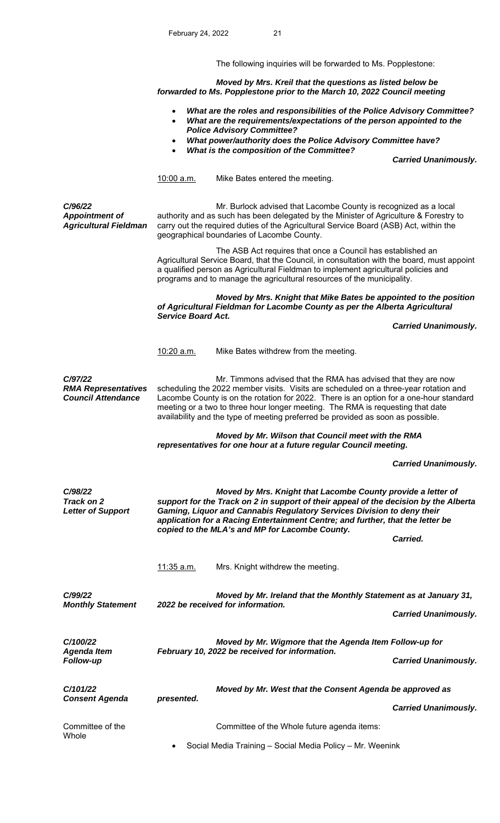The following inquiries will be forwarded to Ms. Popplestone:

 *Moved by Mrs. Kreil that the questions as listed below be forwarded to Ms. Popplestone prior to the March 10, 2022 Council meeting* 

- *What are the roles and responsibilities of the Police Advisory Committee?*
- *What are the requirements/expectations of the person appointed to the Police Advisory Committee?*
- *What power/authority does the Police Advisory Committee have?*
- *What is the composition of the Committee?*

 *Carried Unanimously.* 

10:00 a.m. Mike Bates entered the meeting.

*C/96/22 Appointment of Agricultural Fieldman* 

 Mr. Burlock advised that Lacombe County is recognized as a local authority and as such has been delegated by the Minister of Agriculture & Forestry to carry out the required duties of the Agricultural Service Board (ASB) Act, within the geographical boundaries of Lacombe County.

 The ASB Act requires that once a Council has established an Agricultural Service Board, that the Council, in consultation with the board, must appoint a qualified person as Agricultural Fieldman to implement agricultural policies and programs and to manage the agricultural resources of the municipality.

 *Moved by Mrs. Knight that Mike Bates be appointed to the position of Agricultural Fieldman for Lacombe County as per the Alberta Agricultural Service Board Act.* 

 *Carried Unanimously.* 

10:20 a.m. Mike Bates withdrew from the meeting.

*C/97/22 RMA Representatives Council Attendance* 

Mr. Timmons advised that the RMA has advised that they are now scheduling the 2022 member visits. Visits are scheduled on a three-year rotation and Lacombe County is on the rotation for 2022. There is an option for a one-hour standard meeting or a two to three hour longer meeting. The RMA is requesting that date availability and the type of meeting preferred be provided as soon as possible.

### *Moved by Mr. Wilson that Council meet with the RMA representatives for one hour at a future regular Council meeting.*

 *Carried Unanimously.* 

| C/98/22<br>Track on 2<br><b>Letter of Support</b>  | copied to the MLA's and MP for Lacombe County. | Moved by Mrs. Knight that Lacombe County provide a letter of<br>support for the Track on 2 in support of their appeal of the decision by the Alberta<br>Gaming, Liquor and Cannabis Regulatory Services Division to deny their<br>application for a Racing Entertainment Centre; and further, that the letter be<br>Carried. |                             |
|----------------------------------------------------|------------------------------------------------|------------------------------------------------------------------------------------------------------------------------------------------------------------------------------------------------------------------------------------------------------------------------------------------------------------------------------|-----------------------------|
|                                                    | <u>11:35 a.m.</u>                              | Mrs. Knight withdrew the meeting.                                                                                                                                                                                                                                                                                            |                             |
| C/99/22<br><b>Monthly Statement</b>                |                                                | Moved by Mr. Ireland that the Monthly Statement as at January 31,<br>2022 be received for information.                                                                                                                                                                                                                       | <b>Carried Unanimously.</b> |
| C/100/22<br><b>Agenda Item</b><br><b>Follow-up</b> |                                                | Moved by Mr. Wigmore that the Agenda Item Follow-up for<br>February 10, 2022 be received for information.                                                                                                                                                                                                                    | <b>Carried Unanimously.</b> |
| C/101/22<br><b>Consent Agenda</b>                  | presented.                                     | Moved by Mr. West that the Consent Agenda be approved as                                                                                                                                                                                                                                                                     | <b>Carried Unanimously.</b> |
| Committee of the<br>Whole                          | $\bullet$                                      | Committee of the Whole future agenda items:<br>Social Media Training - Social Media Policy - Mr. Weenink                                                                                                                                                                                                                     |                             |